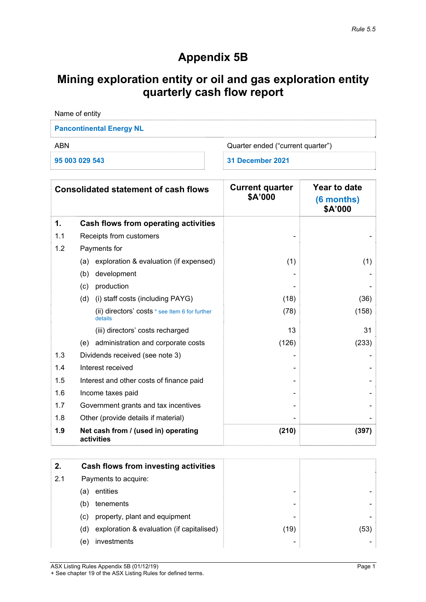## **Appendix 5B**

# **Mining exploration entity or oil and gas exploration entity quarterly cash flow report**

| Name of entity                           |                  |  |  |  |
|------------------------------------------|------------------|--|--|--|
| <b>Pancontinental Energy NL</b>          |                  |  |  |  |
| Quarter ended ("current quarter")<br>ARN |                  |  |  |  |
| 95 003 029 543                           | 31 December 2021 |  |  |  |

|     | <b>Consolidated statement of cash flows</b>               | <b>Current quarter</b><br>\$A'000 | Year to date<br>(6 months)<br>\$A'000 |
|-----|-----------------------------------------------------------|-----------------------------------|---------------------------------------|
| 1.  | Cash flows from operating activities                      |                                   |                                       |
| 1.1 | Receipts from customers                                   |                                   |                                       |
| 1.2 | Payments for                                              |                                   |                                       |
|     | exploration & evaluation (if expensed)<br>(a)             | (1)                               | (1)                                   |
|     | development<br>(b)                                        |                                   |                                       |
|     | production<br>(c)                                         |                                   |                                       |
|     | (i) staff costs (including PAYG)<br>(d)                   | (18)                              | (36)                                  |
|     | (ii) directors' costs * see Item 6 for further<br>details | (78)                              | (158)                                 |
|     | (iii) directors' costs recharged                          | 13                                | 31                                    |
|     | administration and corporate costs<br>(e)                 | (126)                             | (233)                                 |
| 1.3 | Dividends received (see note 3)                           |                                   |                                       |
| 1.4 | Interest received                                         |                                   |                                       |
| 1.5 | Interest and other costs of finance paid                  |                                   |                                       |
| 1.6 | Income taxes paid                                         |                                   |                                       |
| 1.7 | Government grants and tax incentives                      |                                   |                                       |
| 1.8 | Other (provide details if material)                       |                                   |                                       |
| 1.9 | Net cash from / (used in) operating<br>activities         | (210)                             | (397)                                 |

| 2.  |     | Cash flows from investing activities      |      |      |
|-----|-----|-------------------------------------------|------|------|
| 2.1 |     | Payments to acquire:                      |      |      |
|     | (a) | entities                                  | -    |      |
|     | (b) | tenements                                 | -    |      |
|     | (C) | property, plant and equipment             | -    |      |
|     | (d) | exploration & evaluation (if capitalised) | (19) | (53) |
|     | (e) | investments                               | -    |      |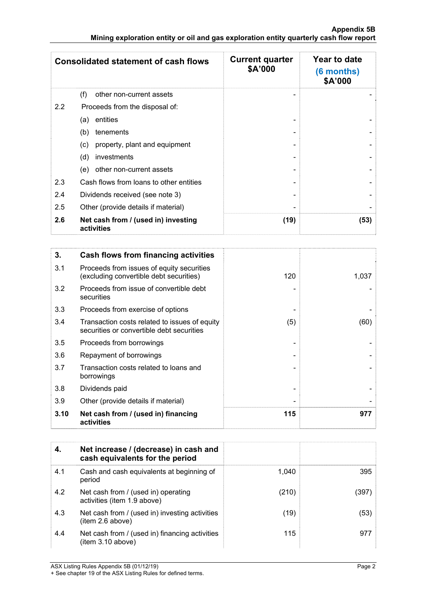|               | <b>Consolidated statement of cash flows</b>       | <b>Current quarter</b><br>\$A'000 | Year to date<br>(6 months)<br>\$A'000 |
|---------------|---------------------------------------------------|-----------------------------------|---------------------------------------|
|               | (f)<br>other non-current assets                   |                                   |                                       |
| $2.2^{\circ}$ | Proceeds from the disposal of:                    |                                   |                                       |
|               | entities<br>(a)                                   |                                   |                                       |
|               | (b)<br>tenements                                  |                                   |                                       |
|               | property, plant and equipment<br>(c)              |                                   |                                       |
|               | investments<br>(d)                                |                                   |                                       |
|               | other non-current assets<br>(e)                   |                                   |                                       |
| 2.3           | Cash flows from loans to other entities           |                                   |                                       |
| 2.4           | Dividends received (see note 3)                   |                                   |                                       |
| 2.5           | Other (provide details if material)               |                                   |                                       |
| 2.6           | Net cash from / (used in) investing<br>activities | (19)                              | (53)                                  |

| 3.   | Cash flows from financing activities                                                       |     |       |
|------|--------------------------------------------------------------------------------------------|-----|-------|
| 3.1  | Proceeds from issues of equity securities<br>(excluding convertible debt securities)       | 120 | 1,037 |
| 3.2  | Proceeds from issue of convertible debt<br>securities                                      |     |       |
| 3.3  | Proceeds from exercise of options                                                          |     |       |
| 3.4  | Transaction costs related to issues of equity<br>securities or convertible debt securities | (5) | (60)  |
| 3.5  | Proceeds from borrowings                                                                   |     |       |
| 3.6  | Repayment of borrowings                                                                    |     |       |
| 3.7  | Transaction costs related to loans and<br>borrowings                                       |     |       |
| 3.8  | Dividends paid                                                                             |     |       |
| 3.9  | Other (provide details if material)                                                        |     |       |
| 3.10 | Net cash from / (used in) financing<br>activities                                          | 115 | 977   |

| 4.  | Net increase / (decrease) in cash and<br>cash equivalents for the period |       |       |
|-----|--------------------------------------------------------------------------|-------|-------|
| 4.1 | Cash and cash equivalents at beginning of<br>period                      | 1.040 | 395   |
| 4.2 | Net cash from / (used in) operating<br>activities (item 1.9 above)       | (210) | (397) |
| 4.3 | Net cash from / (used in) investing activities<br>item 2.6 above)        | (19)  | (53)  |
| 4.4 | Net cash from / (used in) financing activities<br>item 3.10 above)       | 115   | 977   |

ASX Listing Rules Appendix 5B (01/12/19) Page 2

<sup>+</sup> See chapter 19 of the ASX Listing Rules for defined terms.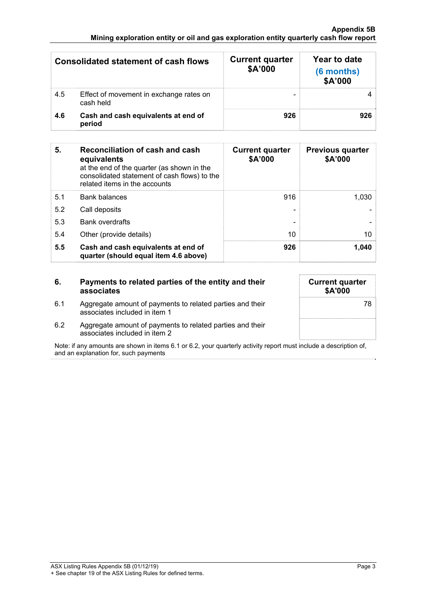| <b>Consolidated statement of cash flows</b> |                                                      | <b>Current quarter</b><br>\$A'000 | Year to date<br>(6 months)<br>\$A'000 |
|---------------------------------------------|------------------------------------------------------|-----------------------------------|---------------------------------------|
| 4.5                                         | Effect of movement in exchange rates on<br>cash held |                                   |                                       |
| 4.6                                         | Cash and cash equivalents at end of<br>period        | 926                               | 926                                   |

| 5.  | Reconciliation of cash and cash<br>equivalents<br>at the end of the quarter (as shown in the<br>consolidated statement of cash flows) to the<br>related items in the accounts | <b>Current quarter</b><br>\$A'000 | <b>Previous quarter</b><br>\$A'000 |
|-----|-------------------------------------------------------------------------------------------------------------------------------------------------------------------------------|-----------------------------------|------------------------------------|
| 5.1 | <b>Bank balances</b>                                                                                                                                                          | 916                               | 1.030                              |
| 5.2 | Call deposits                                                                                                                                                                 |                                   |                                    |
| 5.3 | <b>Bank overdrafts</b>                                                                                                                                                        |                                   |                                    |
| 5.4 | Other (provide details)                                                                                                                                                       | 10                                | 10                                 |
| 5.5 | Cash and cash equivalents at end of<br>quarter (should equal item 4.6 above)                                                                                                  | 926                               | 1,040                              |

| 6.  | Payments to related parties of the entity and their<br>associates                          | <b>Current quarter</b><br>\$A'000 |
|-----|--------------------------------------------------------------------------------------------|-----------------------------------|
| 6.1 | Aggregate amount of payments to related parties and their<br>associates included in item 1 | 78                                |
| 6.2 | Aggregate amount of payments to related parties and their<br>associates included in item 2 |                                   |

Note: if any amounts are shown in items 6.1 or 6.2, your quarterly activity report must include a description of, and an explanation for, such payments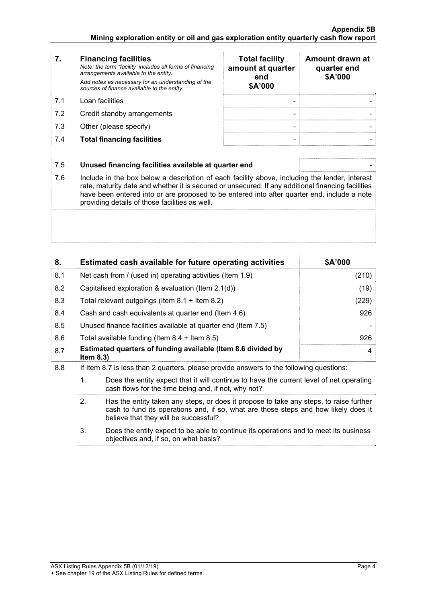|    | <b>Financing facilities</b><br>Note: the term "facility' includes all forms of financing<br>arrangements available to the entity.<br>Add notes as necessary for an understanding of the<br>sources of finance available to the entity. | <b>Total facility</b><br>amount at quarter<br>end<br>\$A'000 | Amount drawn at<br>quarter end<br>\$A'000 |
|----|----------------------------------------------------------------------------------------------------------------------------------------------------------------------------------------------------------------------------------------|--------------------------------------------------------------|-------------------------------------------|
| 71 | Loan facilities                                                                                                                                                                                                                        | -                                                            |                                           |

- 7.2 Credit standby arrangements
- $7.3$  Other (please specify)
- **7.4 Total financing facilities**

| <b>Total facility</b><br>amount at quarter<br>end<br>\$A'000 | Amount drawn at<br>quarter end<br>\$A'000 |
|--------------------------------------------------------------|-------------------------------------------|
|                                                              |                                           |
|                                                              |                                           |

### 7.5 **Unused financing facilities available at quarter end** -

7.6 Include in the box below a description of each facility above, including the lender, interest rate, maturity date and whether it is secured or unsecured. If any additional financing facilities have been entered into or are proposed to be entered into after quarter end, include a note providing details of those facilities as well.

| 8.  | Estimated cash available for future operating activities                     | \$A'000 |
|-----|------------------------------------------------------------------------------|---------|
| 8.1 | Net cash from / (used in) operating activities (Item 1.9)                    | (210)   |
| 8.2 | Capitalised exploration & evaluation (Item $2.1(d)$ )                        | (19)    |
| 8.3 | Total relevant outgoings (Item $8.1 +$ Item $8.2$ )                          | (229)   |
| 8.4 | Cash and cash equivalents at quarter end (Item 4.6)                          | 926     |
| 8.5 | Unused finance facilities available at quarter end (Item 7.5)                |         |
| 8.6 | Total available funding (Item $8.4 +$ Item $8.5$ )                           | 926     |
| 8.7 | Estimated quarters of funding available (Item 8.6 divided by<br>Item $8.3$ ) | 4       |

- 8.8 If Item 8.7 is less than 2 quarters, please provide answers to the following questions:
	- 1. Does the entity expect that it will continue to have the current level of net operating cash flows for the time being and, if not, why not?
	- 2. Has the entity taken any steps, or does it propose to take any steps, to raise further cash to fund its operations and, if so, what are those steps and how likely does it believe that they will be successful?
	- 3. Does the entity expect to be able to continue its operations and to meet its business objectives and, if so, on what basis?